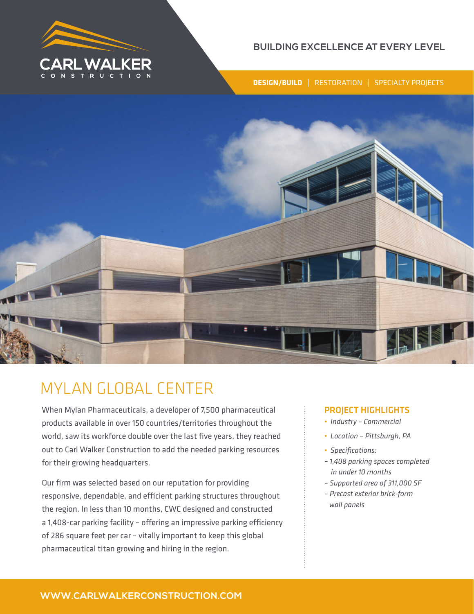

## **BUILDING EXCELLENCE AT EVERY LEVEL**

**DESIGN/BUILD** | RESTORATION | SPECIALTY PROJECTS



# MYLAN GLOBAL CENTER

When Mylan Pharmaceuticals, a developer of 7,500 pharmaceutical products available in over 150 countries/territories throughout the world, saw its workforce double over the last five years, they reached out to Carl Walker Construction to add the needed parking resources for their growing headquarters.

Our firm was selected based on our reputation for providing responsive, dependable, and efficient parking structures throughout the region. In less than 10 months, CWC designed and constructed a 1,408-car parking facility – offering an impressive parking efficiency of 286 square feet per car – vitally important to keep this global pharmaceutical titan growing and hiring in the region.

### PROJECT HIGHLIGHTS

- *Industry Commercial*
- *Location Pittsburgh, PA*
- *Specifications:*
- *1,408 parking spaces completed in under 10 months*
- *Supported area of 311,000 SF*
- *Precast exterior brick-form wall panels*